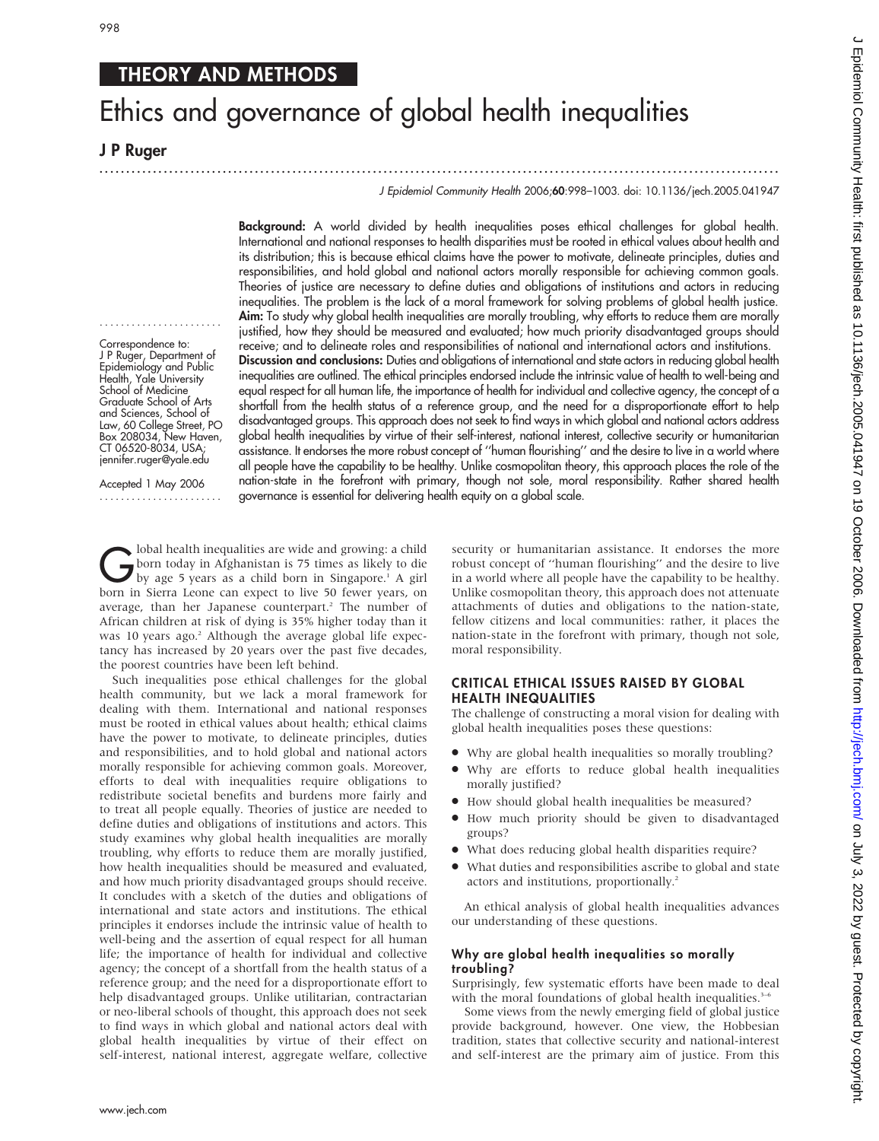# THEORY AND METHODS

# Ethics and governance of global health inequalities

J P Ruger

## .............................................................................................................................. .

J Epidemiol Community Health 2006;60:998–1003. doi: 10.1136/jech.2005.041947

Correspondence to: J P Ruger, Department of Epidemiology and Public Health, Yale University School of Medicine Graduate School of Arts and Sciences, School of Law, 60 College Street, PO Box 208034, New Haven, CT 06520-8034, USA; jennifer.ruger@yale.edu

.......................

its distribution; this is because ethical claims have the power to motivate, delineate principles, duties and responsibilities, and hold global and national actors morally responsible for achieving common goals. Theories of justice are necessary to define duties and obligations of institutions and actors in reducing inequalities. The problem is the lack of a moral framework for solving problems of global health justice. Aim: To study why global health inequalities are morally troubling, why efforts to reduce them are morally justified, how they should be measured and evaluated; how much priority disadvantaged groups should receive; and to delineate roles and responsibilities of national and international actors and institutions. Discussion and conclusions: Duties and obligations of international and state actors in reducing global health inequalities are outlined. The ethical principles endorsed include the intrinsic value of health to well-being and equal respect for all human life, the importance of health for individual and collective agency, the concept of a shortfall from the health status of a reference group, and the need for a disproportionate effort to help disadvantaged groups. This approach does not seek to find ways in which global and national actors address global health inequalities by virtue of their self-interest, national interest, collective security or humanitarian assistance. It endorses the more robust concept of ''human flourishing'' and the desire to live in a world where all people have the capability to be healthy. Unlike cosmopolitan theory, this approach places the role of the nation-state in the forefront with primary, though not sole, moral responsibility. Rather shared health governance is essential for delivering health equity on a global scale.

Background: A world divided by health inequalities poses ethical challenges for global health. International and national responses to health disparities must be rooted in ethical values about health and

Accepted 1 May 2006 .......................

**Global health inequalities are wide and growing: a child**<br>by age 5 years as a child born in Singapore.<sup>1</sup> A girl<br>born in Siarra Leone can expect to live 50 fower years, on born today in Afghanistan is 75 times as likely to die born in Sierra Leone can expect to live 50 fewer years, on average, than her Japanese counterpart.<sup>2</sup> The number of African children at risk of dying is 35% higher today than it was 10 years ago.<sup>2</sup> Although the average global life expectancy has increased by 20 years over the past five decades, the poorest countries have been left behind.

Such inequalities pose ethical challenges for the global health community, but we lack a moral framework for dealing with them. International and national responses must be rooted in ethical values about health; ethical claims have the power to motivate, to delineate principles, duties and responsibilities, and to hold global and national actors morally responsible for achieving common goals. Moreover, efforts to deal with inequalities require obligations to redistribute societal benefits and burdens more fairly and to treat all people equally. Theories of justice are needed to define duties and obligations of institutions and actors. This study examines why global health inequalities are morally troubling, why efforts to reduce them are morally justified, how health inequalities should be measured and evaluated, and how much priority disadvantaged groups should receive. It concludes with a sketch of the duties and obligations of international and state actors and institutions. The ethical principles it endorses include the intrinsic value of health to well-being and the assertion of equal respect for all human life; the importance of health for individual and collective agency; the concept of a shortfall from the health status of a reference group; and the need for a disproportionate effort to help disadvantaged groups. Unlike utilitarian, contractarian or neo-liberal schools of thought, this approach does not seek to find ways in which global and national actors deal with global health inequalities by virtue of their effect on self-interest, national interest, aggregate welfare, collective security or humanitarian assistance. It endorses the more robust concept of ''human flourishing'' and the desire to live in a world where all people have the capability to be healthy. Unlike cosmopolitan theory, this approach does not attenuate attachments of duties and obligations to the nation-state, fellow citizens and local communities: rather, it places the nation-state in the forefront with primary, though not sole, moral responsibility.

#### CRITICAL ETHICAL ISSUES RAISED BY GLOBAL HEALTH INEQUALITIES

The challenge of constructing a moral vision for dealing with global health inequalities poses these questions:

- Why are global health inequalities so morally troubling? N Why are efforts to reduce global health inequalities
- morally justified?
- $\bullet$  How should global health inequalities be measured?
- How much priority should be given to disadvantaged groups?
- What does reducing global health disparities require?
- What duties and responsibilities ascribe to global and state actors and institutions, proportionally.<sup>2</sup>

An ethical analysis of global health inequalities advances our understanding of these questions.

#### Why are global health inequalities so morally troubling?

Surprisingly, few systematic efforts have been made to deal with the moral foundations of global health inequalities.<sup>3-6</sup>

Some views from the newly emerging field of global justice provide background, however. One view, the Hobbesian tradition, states that collective security and national-interest and self-interest are the primary aim of justice. From this

 $\epsilon$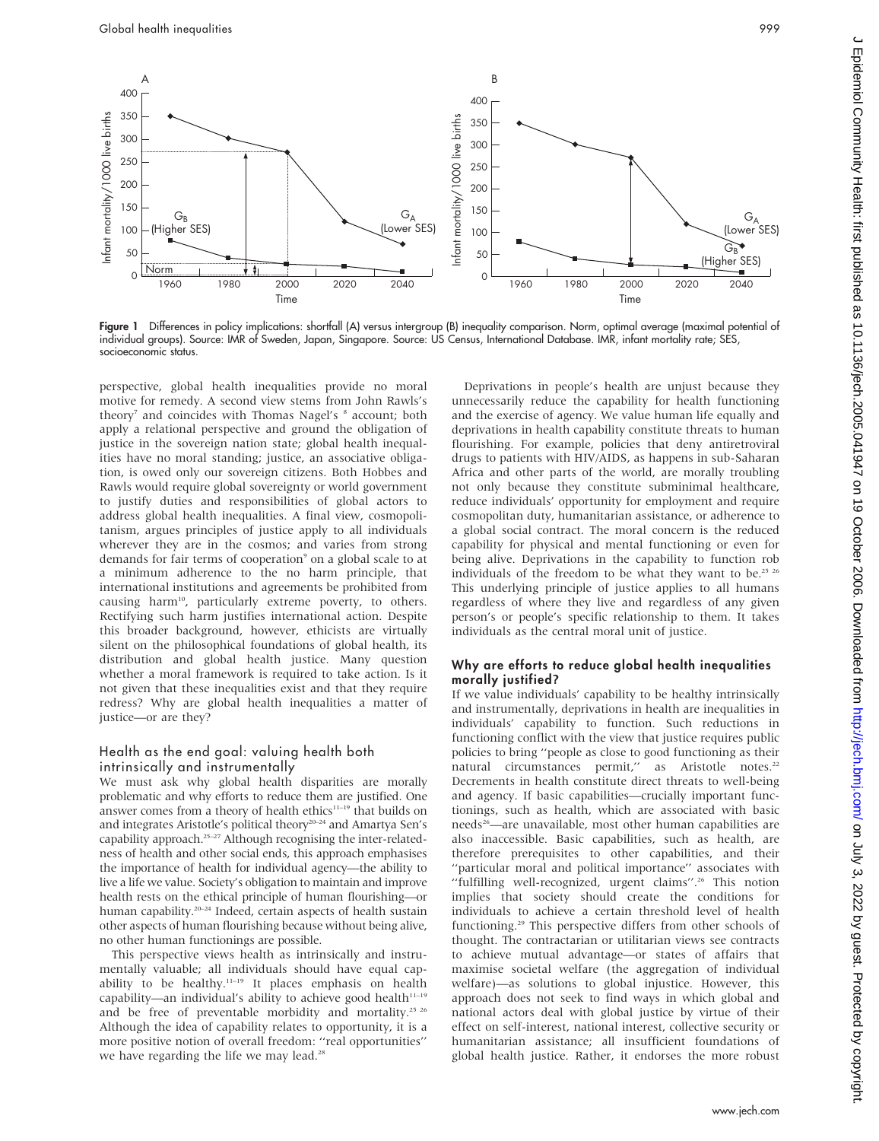



**Figure 1** Differences in policy implications: shorttall (A) versus intergroup (B) inequality comparison. Norm, optimal average (maximal potential of individual groups). Source: IMR of Sweden, Japan, Singapore. Source: US Census, International Database. IMR, infant mortality rate; SES, socioeconomic status.

perspective, global health inequalities provide no moral motive for remedy. A second view stems from John Rawls's theory<sup>7</sup> and coincides with Thomas Nagel's  $s$  account; both apply a relational perspective and ground the obligation of justice in the sovereign nation state; global health inequalities have no moral standing; justice, an associative obligation, is owed only our sovereign citizens. Both Hobbes and Rawls would require global sovereignty or world government to justify duties and responsibilities of global actors to address global health inequalities. A final view, cosmopolitanism, argues principles of justice apply to all individuals wherever they are in the cosmos; and varies from strong demands for fair terms of cooperation<sup>9</sup> on a global scale to at a minimum adherence to the no harm principle, that international institutions and agreements be prohibited from causing harm<sup>10</sup>, particularly extreme poverty, to others. Rectifying such harm justifies international action. Despite this broader background, however, ethicists are virtually silent on the philosophical foundations of global health, its distribution and global health justice. Many question whether a moral framework is required to take action. Is it not given that these inequalities exist and that they require redress? Why are global health inequalities a matter of justice—or are they?

#### Health as the end goal: valuing health both intrinsically and instrumentally

We must ask why global health disparities are morally problematic and why efforts to reduce them are justified. One answer comes from a theory of health ethics<sup>11-19</sup> that builds on and integrates Aristotle's political theory<sup>20-24</sup> and Amartya Sen's capability approach.<sup>25-27</sup> Although recognising the inter-relatedness of health and other social ends, this approach emphasises the importance of health for individual agency—the ability to live a life we value. Society's obligation to maintain and improve health rests on the ethical principle of human flourishing—or human capability.<sup>20–24</sup> Indeed, certain aspects of health sustain other aspects of human flourishing because without being alive, no other human functionings are possible.

This perspective views health as intrinsically and instrumentally valuable; all individuals should have equal capability to be healthy.<sup>11-19</sup> It places emphasis on health capability—an individual's ability to achieve good health<sup>11-19</sup> and be free of preventable morbidity and mortality.<sup>25 26</sup> Although the idea of capability relates to opportunity, it is a more positive notion of overall freedom: ''real opportunities'' we have regarding the life we may lead.<sup>28</sup>

Deprivations in people's health are unjust because they unnecessarily reduce the capability for health functioning and the exercise of agency. We value human life equally and deprivations in health capability constitute threats to human flourishing. For example, policies that deny antiretroviral drugs to patients with HIV/AIDS, as happens in sub-Saharan Africa and other parts of the world, are morally troubling not only because they constitute subminimal healthcare, reduce individuals' opportunity for employment and require cosmopolitan duty, humanitarian assistance, or adherence to a global social contract. The moral concern is the reduced capability for physical and mental functioning or even for being alive. Deprivations in the capability to function rob individuals of the freedom to be what they want to be.<sup>25 26</sup> This underlying principle of justice applies to all humans regardless of where they live and regardless of any given person's or people's specific relationship to them. It takes individuals as the central moral unit of justice.

#### Why are efforts to reduce global health inequalities morally justified?

If we value individuals' capability to be healthy intrinsically and instrumentally, deprivations in health are inequalities in individuals' capability to function. Such reductions in functioning conflict with the view that justice requires public policies to bring ''people as close to good functioning as their natural circumstances permit," as Aristotle notes.<sup>22</sup> Decrements in health constitute direct threats to well-being and agency. If basic capabilities—crucially important functionings, such as health, which are associated with basic needs<sup>26</sup>—are unavailable, most other human capabilities are also inaccessible. Basic capabilities, such as health, are therefore prerequisites to other capabilities, and their "particular moral and political importance" associates with "fulfilling well-recognized, urgent claims".<sup>26</sup> This notion implies that society should create the conditions for individuals to achieve a certain threshold level of health functioning.29 This perspective differs from other schools of thought. The contractarian or utilitarian views see contracts to achieve mutual advantage—or states of affairs that maximise societal welfare (the aggregation of individual welfare)—as solutions to global injustice. However, this approach does not seek to find ways in which global and national actors deal with global justice by virtue of their effect on self-interest, national interest, collective security or humanitarian assistance; all insufficient foundations of global health justice. Rather, it endorses the more robust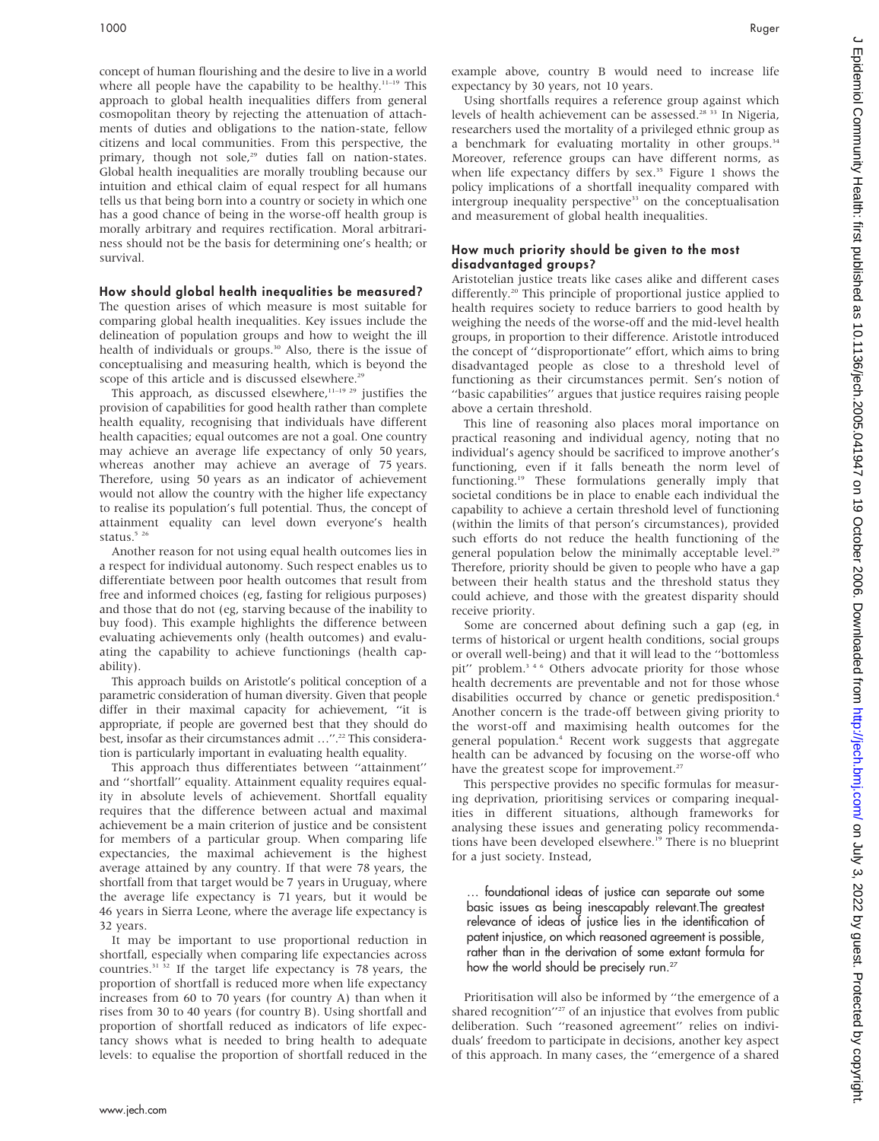concept of human flourishing and the desire to live in a world where all people have the capability to be healthy.<sup>11-19</sup> This approach to global health inequalities differs from general cosmopolitan theory by rejecting the attenuation of attachments of duties and obligations to the nation-state, fellow citizens and local communities. From this perspective, the primary, though not sole,<sup>29</sup> duties fall on nation-states. Global health inequalities are morally troubling because our intuition and ethical claim of equal respect for all humans tells us that being born into a country or society in which one has a good chance of being in the worse-off health group is morally arbitrary and requires rectification. Moral arbitrariness should not be the basis for determining one's health; or survival.

#### How should global health inequalities be measured?

The question arises of which measure is most suitable for comparing global health inequalities. Key issues include the delineation of population groups and how to weight the ill health of individuals or groups.<sup>30</sup> Also, there is the issue of conceptualising and measuring health, which is beyond the scope of this article and is discussed elsewhere.<sup>25</sup>

This approach, as discussed elsewhere, $11-19$   $29$  justifies the provision of capabilities for good health rather than complete health equality, recognising that individuals have different health capacities; equal outcomes are not a goal. One country may achieve an average life expectancy of only 50 years, whereas another may achieve an average of 75 years. Therefore, using 50 years as an indicator of achievement would not allow the country with the higher life expectancy to realise its population's full potential. Thus, the concept of attainment equality can level down everyone's health status.<sup>5</sup> <sup>26</sup>

Another reason for not using equal health outcomes lies in a respect for individual autonomy. Such respect enables us to differentiate between poor health outcomes that result from free and informed choices (eg, fasting for religious purposes) and those that do not (eg, starving because of the inability to buy food). This example highlights the difference between evaluating achievements only (health outcomes) and evaluating the capability to achieve functionings (health capability).

This approach builds on Aristotle's political conception of a parametric consideration of human diversity. Given that people differ in their maximal capacity for achievement, ''it is appropriate, if people are governed best that they should do best, insofar as their circumstances admit ...".<sup>22</sup> This consideration is particularly important in evaluating health equality.

This approach thus differentiates between ''attainment'' and ''shortfall'' equality. Attainment equality requires equality in absolute levels of achievement. Shortfall equality requires that the difference between actual and maximal achievement be a main criterion of justice and be consistent for members of a particular group. When comparing life expectancies, the maximal achievement is the highest average attained by any country. If that were 78 years, the shortfall from that target would be 7 years in Uruguay, where the average life expectancy is 71 years, but it would be 46 years in Sierra Leone, where the average life expectancy is 32 years.

It may be important to use proportional reduction in shortfall, especially when comparing life expectancies across countries.31 32 If the target life expectancy is 78 years, the proportion of shortfall is reduced more when life expectancy increases from 60 to 70 years (for country A) than when it rises from 30 to 40 years (for country B). Using shortfall and proportion of shortfall reduced as indicators of life expectancy shows what is needed to bring health to adequate levels: to equalise the proportion of shortfall reduced in the  $\subset$ 

example above, country B would need to increase life expectancy by 30 years, not 10 years.

Using shortfalls requires a reference group against which levels of health achievement can be assessed.28 33 In Nigeria, researchers used the mortality of a privileged ethnic group as a benchmark for evaluating mortality in other groups.<sup>34</sup> Moreover, reference groups can have different norms, as when life expectancy differs by sex.<sup>35</sup> Figure 1 shows the policy implications of a shortfall inequality compared with intergroup inequality perspective $33$  on the conceptualisation and measurement of global health inequalities.

#### How much priority should be given to the most disadvantaged groups?

Aristotelian justice treats like cases alike and different cases differently.20 This principle of proportional justice applied to health requires society to reduce barriers to good health by weighing the needs of the worse-off and the mid-level health groups, in proportion to their difference. Aristotle introduced the concept of ''disproportionate'' effort, which aims to bring disadvantaged people as close to a threshold level of functioning as their circumstances permit. Sen's notion of ''basic capabilities'' argues that justice requires raising people above a certain threshold.

This line of reasoning also places moral importance on practical reasoning and individual agency, noting that no individual's agency should be sacrificed to improve another's functioning, even if it falls beneath the norm level of functioning.19 These formulations generally imply that societal conditions be in place to enable each individual the capability to achieve a certain threshold level of functioning (within the limits of that person's circumstances), provided such efforts do not reduce the health functioning of the general population below the minimally acceptable level.<sup>29</sup> Therefore, priority should be given to people who have a gap between their health status and the threshold status they could achieve, and those with the greatest disparity should receive priority.

Some are concerned about defining such a gap (eg, in terms of historical or urgent health conditions, social groups or overall well-being) and that it will lead to the ''bottomless pit" problem.<sup>346</sup> Others advocate priority for those whose health decrements are preventable and not for those whose disabilities occurred by chance or genetic predisposition.4 Another concern is the trade-off between giving priority to the worst-off and maximising health outcomes for the general population.<sup>4</sup> Recent work suggests that aggregate health can be advanced by focusing on the worse-off who have the greatest scope for improvement.<sup>27</sup>

This perspective provides no specific formulas for measuring deprivation, prioritising services or comparing inequalities in different situations, although frameworks for analysing these issues and generating policy recommendations have been developed elsewhere.<sup>19</sup> There is no blueprint for a just society. Instead,

… foundational ideas of justice can separate out some basic issues as being inescapably relevant.The greatest relevance of ideas of justice lies in the identification of patent injustice, on which reasoned agreement is possible, rather than in the derivation of some extant formula for how the world should be precisely run.<sup>27</sup>

Prioritisation will also be informed by ''the emergence of a shared recognition"<sup>27</sup> of an injustice that evolves from public deliberation. Such ''reasoned agreement'' relies on individuals' freedom to participate in decisions, another key aspect of this approach. In many cases, the ''emergence of a shared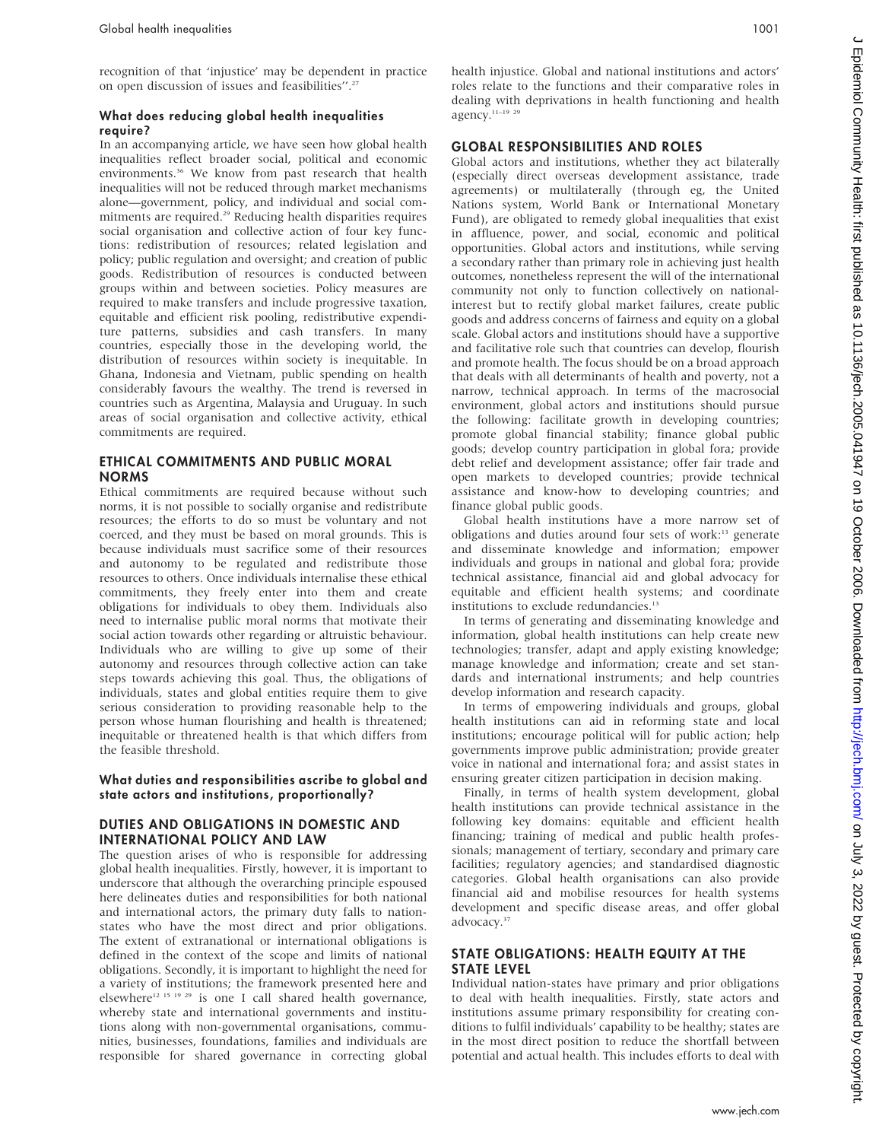recognition of that 'injustice' may be dependent in practice on open discussion of issues and feasibilities".<sup>27</sup>

#### What does reducing global health inequalities require?

In an accompanying article, we have seen how global health inequalities reflect broader social, political and economic environments.<sup>36</sup> We know from past research that health inequalities will not be reduced through market mechanisms alone—government, policy, and individual and social commitments are required.29 Reducing health disparities requires social organisation and collective action of four key functions: redistribution of resources; related legislation and policy; public regulation and oversight; and creation of public goods. Redistribution of resources is conducted between groups within and between societies. Policy measures are required to make transfers and include progressive taxation, equitable and efficient risk pooling, redistributive expenditure patterns, subsidies and cash transfers. In many countries, especially those in the developing world, the distribution of resources within society is inequitable. In Ghana, Indonesia and Vietnam, public spending on health considerably favours the wealthy. The trend is reversed in countries such as Argentina, Malaysia and Uruguay. In such areas of social organisation and collective activity, ethical commitments are required.

#### ETHICAL COMMITMENTS AND PUBLIC MORAL NORMS

Ethical commitments are required because without such norms, it is not possible to socially organise and redistribute resources; the efforts to do so must be voluntary and not coerced, and they must be based on moral grounds. This is because individuals must sacrifice some of their resources and autonomy to be regulated and redistribute those resources to others. Once individuals internalise these ethical commitments, they freely enter into them and create obligations for individuals to obey them. Individuals also need to internalise public moral norms that motivate their social action towards other regarding or altruistic behaviour. Individuals who are willing to give up some of their autonomy and resources through collective action can take steps towards achieving this goal. Thus, the obligations of individuals, states and global entities require them to give serious consideration to providing reasonable help to the person whose human flourishing and health is threatened; inequitable or threatened health is that which differs from the feasible threshold.

#### What duties and responsibilities ascribe to global and state actors and institutions, proportionally?

#### DUTIES AND OBLIGATIONS IN DOMESTIC AND INTERNATIONAL POLICY AND LAW

The question arises of who is responsible for addressing global health inequalities. Firstly, however, it is important to underscore that although the overarching principle espoused here delineates duties and responsibilities for both national and international actors, the primary duty falls to nationstates who have the most direct and prior obligations. The extent of extranational or international obligations is defined in the context of the scope and limits of national obligations. Secondly, it is important to highlight the need for a variety of institutions; the framework presented here and elsewhere<sup>12 15 19 29</sup> is one I call shared health governance, whereby state and international governments and institutions along with non-governmental organisations, communities, businesses, foundations, families and individuals are responsible for shared governance in correcting global health injustice. Global and national institutions and actors' roles relate to the functions and their comparative roles in dealing with deprivations in health functioning and health agency.11–19 29

#### GLOBAL RESPONSIBILITIES AND ROLES

Global actors and institutions, whether they act bilaterally (especially direct overseas development assistance, trade agreements) or multilaterally (through eg, the United Nations system, World Bank or International Monetary Fund), are obligated to remedy global inequalities that exist in affluence, power, and social, economic and political opportunities. Global actors and institutions, while serving a secondary rather than primary role in achieving just health outcomes, nonetheless represent the will of the international community not only to function collectively on nationalinterest but to rectify global market failures, create public goods and address concerns of fairness and equity on a global scale. Global actors and institutions should have a supportive and facilitative role such that countries can develop, flourish and promote health. The focus should be on a broad approach that deals with all determinants of health and poverty, not a narrow, technical approach. In terms of the macrosocial environment, global actors and institutions should pursue the following: facilitate growth in developing countries; promote global financial stability; finance global public goods; develop country participation in global fora; provide debt relief and development assistance; offer fair trade and open markets to developed countries; provide technical assistance and know-how to developing countries; and finance global public goods.

Global health institutions have a more narrow set of obligations and duties around four sets of work:<sup>13</sup> generate and disseminate knowledge and information; empower individuals and groups in national and global fora; provide technical assistance, financial aid and global advocacy for equitable and efficient health systems; and coordinate institutions to exclude redundancies.<sup>13</sup>

In terms of generating and disseminating knowledge and information, global health institutions can help create new technologies; transfer, adapt and apply existing knowledge; manage knowledge and information; create and set standards and international instruments; and help countries develop information and research capacity.

In terms of empowering individuals and groups, global health institutions can aid in reforming state and local institutions; encourage political will for public action; help governments improve public administration; provide greater voice in national and international fora; and assist states in ensuring greater citizen participation in decision making.

Finally, in terms of health system development, global health institutions can provide technical assistance in the following key domains: equitable and efficient health financing; training of medical and public health professionals; management of tertiary, secondary and primary care facilities; regulatory agencies; and standardised diagnostic categories. Global health organisations can also provide financial aid and mobilise resources for health systems development and specific disease areas, and offer global advocacy.37

#### STATE OBLIGATIONS: HEALTH EQUITY AT THE STATE LEVEL

Individual nation-states have primary and prior obligations to deal with health inequalities. Firstly, state actors and institutions assume primary responsibility for creating conditions to fulfil individuals' capability to be healthy; states are in the most direct position to reduce the shortfall between potential and actual health. This includes efforts to deal with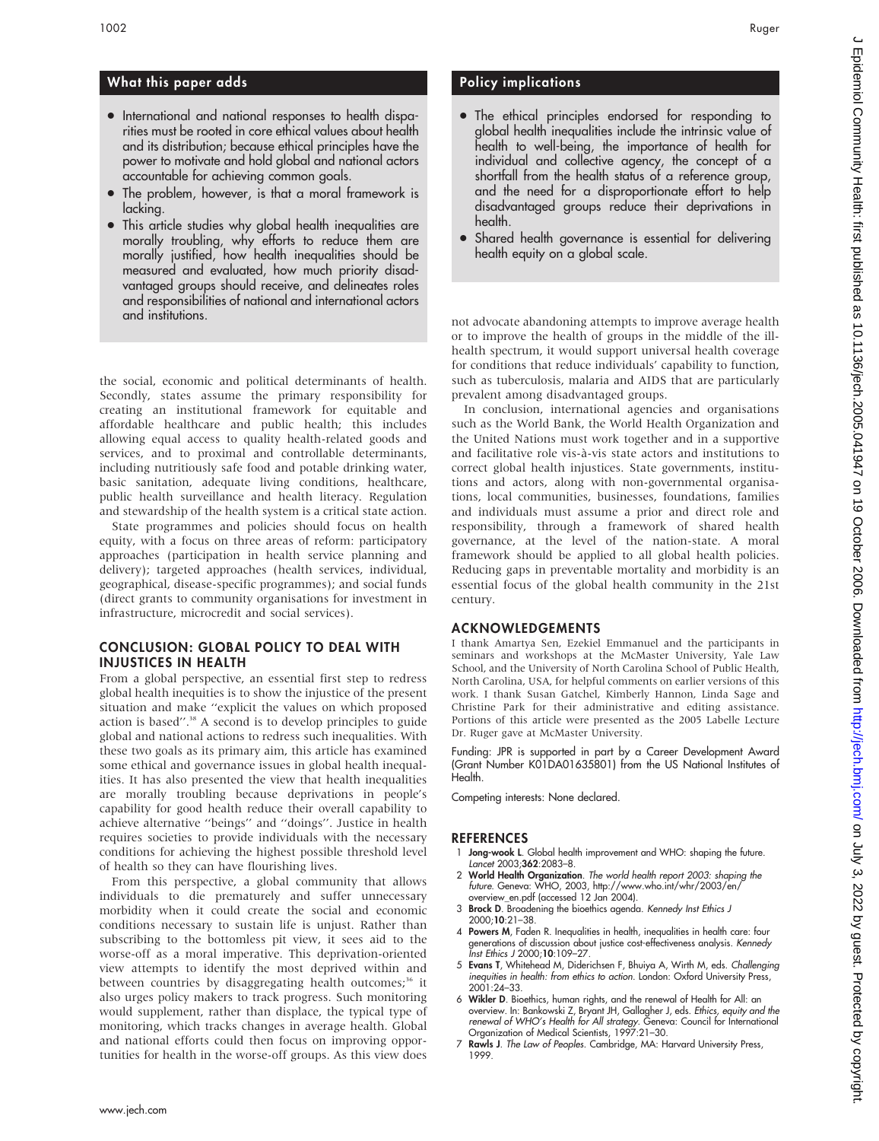- $\bullet$  International and national responses to health disparities must be rooted in core ethical values about health and its distribution; because ethical principles have the power to motivate and hold global and national actors accountable for achieving common goals.
- The problem, however, is that a moral framework is lacking.
- This article studies why global health inequalities are morally troubling, why efforts to reduce them are morally justified, how health inequalities should be measured and evaluated, how much priority disadvantaged groups should receive, and delineates roles and responsibilities of national and international actors and institutions.

the social, economic and political determinants of health. Secondly, states assume the primary responsibility for creating an institutional framework for equitable and affordable healthcare and public health; this includes allowing equal access to quality health-related goods and services, and to proximal and controllable determinants, including nutritiously safe food and potable drinking water, basic sanitation, adequate living conditions, healthcare, public health surveillance and health literacy. Regulation and stewardship of the health system is a critical state action.

State programmes and policies should focus on health equity, with a focus on three areas of reform: participatory approaches (participation in health service planning and delivery); targeted approaches (health services, individual, geographical, disease-specific programmes); and social funds (direct grants to community organisations for investment in infrastructure, microcredit and social services).

#### CONCLUSION: GLOBAL POLICY TO DEAL WITH INJUSTICES IN HEALTH

From a global perspective, an essential first step to redress global health inequities is to show the injustice of the present situation and make ''explicit the values on which proposed action is based''.38 A second is to develop principles to guide global and national actions to redress such inequalities. With these two goals as its primary aim, this article has examined some ethical and governance issues in global health inequalities. It has also presented the view that health inequalities are morally troubling because deprivations in people's capability for good health reduce their overall capability to achieve alternative ''beings'' and ''doings''. Justice in health requires societies to provide individuals with the necessary conditions for achieving the highest possible threshold level of health so they can have flourishing lives.

From this perspective, a global community that allows individuals to die prematurely and suffer unnecessary morbidity when it could create the social and economic conditions necessary to sustain life is unjust. Rather than subscribing to the bottomless pit view, it sees aid to the worse-off as a moral imperative. This deprivation-oriented view attempts to identify the most deprived within and between countries by disaggregating health outcomes;<sup>36</sup> it also urges policy makers to track progress. Such monitoring would supplement, rather than displace, the typical type of monitoring, which tracks changes in average health. Global and national efforts could then focus on improving opportunities for health in the worse-off groups. As this view does

## Policy implications

- The ethical principles endorsed for responding to global health inequalities include the intrinsic value of health to well-being, the importance of health for individual and collective agency, the concept of a shortfall from the health status of a reference group, and the need for a disproportionate effort to help disadvantaged groups reduce their deprivations in health.
- Shared health governance is essential for delivering health equity on a global scale.

not advocate abandoning attempts to improve average health or to improve the health of groups in the middle of the illhealth spectrum, it would support universal health coverage for conditions that reduce individuals' capability to function, such as tuberculosis, malaria and AIDS that are particularly prevalent among disadvantaged groups.

In conclusion, international agencies and organisations such as the World Bank, the World Health Organization and the United Nations must work together and in a supportive and facilitative role vis-a`-vis state actors and institutions to correct global health injustices. State governments, institutions and actors, along with non-governmental organisations, local communities, businesses, foundations, families and individuals must assume a prior and direct role and responsibility, through a framework of shared health governance, at the level of the nation-state. A moral framework should be applied to all global health policies. Reducing gaps in preventable mortality and morbidity is an essential focus of the global health community in the 21st century.

### ACKNOWLEDGEMENTS

I thank Amartya Sen, Ezekiel Emmanuel and the participants in seminars and workshops at the McMaster University, Yale Law School, and the University of North Carolina School of Public Health, North Carolina, USA, for helpful comments on earlier versions of this work. I thank Susan Gatchel, Kimberly Hannon, Linda Sage and Christine Park for their administrative and editing assistance. Portions of this article were presented as the 2005 Labelle Lecture Dr. Ruger gave at McMaster University.

Funding: JPR is supported in part by a Career Development Award (Grant Number K01DA01635801) from the US National Institutes of Health.

Competing interests: None declared.

#### **REFERENCES**

- 1 Jong-wook L. Global health improvement and WHO: shaping the future. Lancet 2003;362:2083–8.
- 2 World Health Organization. The world health report 2003: shaping the future. Geneva: WHO, 2003, http://www.who.int/whr/2003/en/ overview\_en.pdf (accessed 12 Jan 2004).
- 3 Brock D. Broadening the bioethics agenda. Kennedy Inst Ethics J 2000;10:21–38.
- 4 Powers M, Faden R. Inequalities in health, inequalities in health care: four generations of discussion about justice cost-effectiveness analysis. Kennedy Inst Ethics J 2000;10:109–27.
- 5 Evans T, Whitehead M, Diderichsen F, Bhuiya A, Wirth M, eds. Challenging inequities in health: from ethics to action. London: Oxford University Press,  $2001.24 - 33.$
- 6 Wikler D. Bioethics, human rights, and the renewal of Health for All: an overview. In: Bankowski Z, Bryant JH, Gallagher J, eds. Ethics, equity and the renewal of WHO's Health for All strategy. Geneva: Council for International Organization of Medical Scientists, 1997:21–30.
- 7 Rawls J. The Law of Peoples. Cambridge, MA: Harvard University Press, 1999.